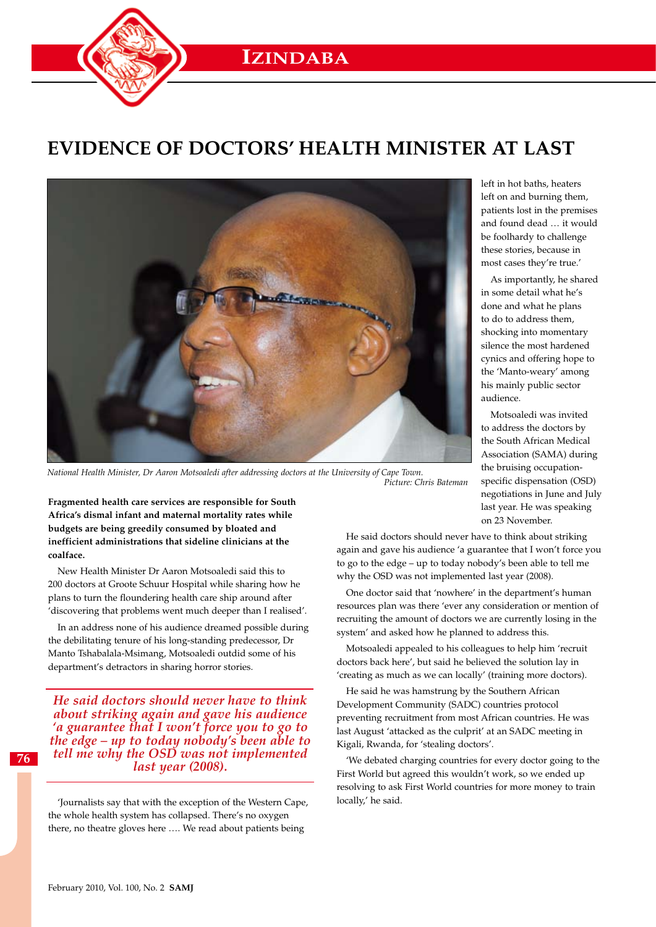

# **Evidence of doctors' Health Minister at last**



*National Health Minister, Dr Aaron Motsoaledi after addressing doctors at the University of Cape Town. Picture: Chris Bateman*

**Fragmented health care services are responsible for South Africa's dismal infant and maternal mortality rates while budgets are being greedily consumed by bloated and inefficient administrations that sideline clinicians at the coalface.**

New Health Minister Dr Aaron Motsoaledi said this to 200 doctors at Groote Schuur Hospital while sharing how he plans to turn the floundering health care ship around after 'discovering that problems went much deeper than I realised'.

In an address none of his audience dreamed possible during the debilitating tenure of his long-standing predecessor, Dr Manto Tshabalala-Msimang, Motsoaledi outdid some of his department's detractors in sharing horror stories.

*He said doctors should never have to think about striking again and gave his audience 'a guarantee that I won't force you to go to the edge – up to today nobody's been able to tell me why the OSD was not implemented last year (2008).*

'Journalists say that with the exception of the Western Cape, the whole health system has collapsed. There's no oxygen there, no theatre gloves here …. We read about patients being

left in hot baths, heaters left on and burning them, patients lost in the premises and found dead … it would be foolhardy to challenge these stories, because in most cases they're true.'

As importantly, he shared in some detail what he's done and what he plans to do to address them, shocking into momentary silence the most hardened cynics and offering hope to the 'Manto-weary' among his mainly public sector audience.

Motsoaledi was invited to address the doctors by the South African Medical Association (SAMA) during the bruising occupationspecific dispensation (OSD) negotiations in June and July last year. He was speaking on 23 November.

He said doctors should never have to think about striking again and gave his audience 'a guarantee that I won't force you to go to the edge – up to today nobody's been able to tell me why the OSD was not implemented last year (2008).

One doctor said that 'nowhere' in the department's human resources plan was there 'ever any consideration or mention of recruiting the amount of doctors we are currently losing in the system' and asked how he planned to address this.

Motsoaledi appealed to his colleagues to help him 'recruit doctors back here', but said he believed the solution lay in 'creating as much as we can locally' (training more doctors).

He said he was hamstrung by the Southern African Development Community (SADC) countries protocol preventing recruitment from most African countries. He was last August 'attacked as the culprit' at an SADC meeting in Kigali, Rwanda, for 'stealing doctors'.

'We debated charging countries for every doctor going to the First World but agreed this wouldn't work, so we ended up resolving to ask First World countries for more money to train locally,' he said.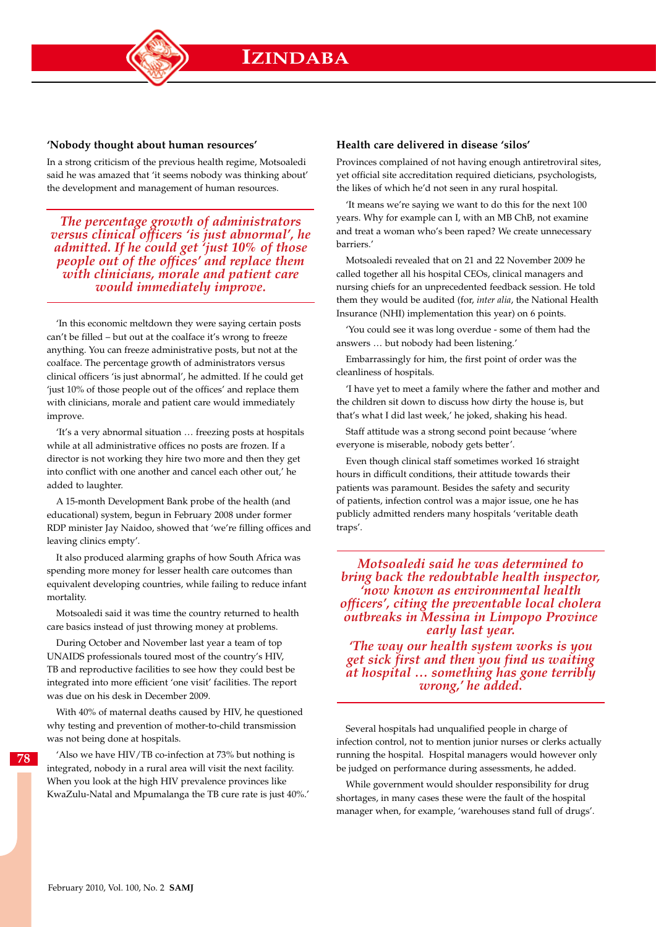## **'Nobody thought about human resources'**

In a strong criticism of the previous health regime, Motsoaledi said he was amazed that 'it seems nobody was thinking about' the development and management of human resources.

*The percentage growth of administrators versus clinical officers 'is just abnormal', he admitted. If he could get 'just 10% of those people out of the offices' and replace them with clinicians, morale and patient care would immediately improve.*

'In this economic meltdown they were saying certain posts can't be filled – but out at the coalface it's wrong to freeze anything. You can freeze administrative posts, but not at the coalface. The percentage growth of administrators versus clinical officers 'is just abnormal', he admitted. If he could get 'just 10% of those people out of the offices' and replace them with clinicians, morale and patient care would immediately improve.

'It's a very abnormal situation … freezing posts at hospitals while at all administrative offices no posts are frozen. If a director is not working they hire two more and then they get into conflict with one another and cancel each other out,' he added to laughter.

A 15-month Development Bank probe of the health (and educational) system, begun in February 2008 under former RDP minister Jay Naidoo, showed that 'we're filling offices and leaving clinics empty'.

It also produced alarming graphs of how South Africa was spending more money for lesser health care outcomes than equivalent developing countries, while failing to reduce infant mortality.

Motsoaledi said it was time the country returned to health care basics instead of just throwing money at problems.

During October and November last year a team of top UNAIDS professionals toured most of the country's HIV, TB and reproductive facilities to see how they could best be integrated into more efficient 'one visit' facilities. The report was due on his desk in December 2009.

With 40% of maternal deaths caused by HIV, he questioned why testing and prevention of mother-to-child transmission was not being done at hospitals.

**78**

'Also we have HIV/TB co-infection at 73% but nothing is integrated, nobody in a rural area will visit the next facility. When you look at the high HIV prevalence provinces like KwaZulu-Natal and Mpumalanga the TB cure rate is just 40%.'

#### **Health care delivered in disease 'silos'**

Provinces complained of not having enough antiretroviral sites, yet official site accreditation required dieticians, psychologists, the likes of which he'd not seen in any rural hospital.

'It means we're saying we want to do this for the next 100 years. Why for example can I, with an MB ChB, not examine and treat a woman who's been raped? We create unnecessary barriers.'

Motsoaledi revealed that on 21 and 22 November 2009 he called together all his hospital CEOs, clinical managers and nursing chiefs for an unprecedented feedback session. He told them they would be audited (for, *inter alia*, the National Health Insurance (NHI) implementation this year) on 6 points.

'You could see it was long overdue - some of them had the answers … but nobody had been listening.'

Embarrassingly for him, the first point of order was the cleanliness of hospitals.

'I have yet to meet a family where the father and mother and the children sit down to discuss how dirty the house is, but that's what I did last week,' he joked, shaking his head.

Staff attitude was a strong second point because 'where everyone is miserable, nobody gets better'.

Even though clinical staff sometimes worked 16 straight hours in difficult conditions, their attitude towards their patients was paramount. Besides the safety and security of patients, infection control was a major issue, one he has publicly admitted renders many hospitals 'veritable death traps'.

*Motsoaledi said he was determined to bring back the redoubtable health inspector, 'now known as environmental health officers', citing the preventable local cholera outbreaks in Messina in Limpopo Province early last year.*

*'The way our health system works is you get sick first and then you find us waiting at hospital … something has gone terribly wrong,' he added.*

Several hospitals had unqualified people in charge of infection control, not to mention junior nurses or clerks actually running the hospital. Hospital managers would however only be judged on performance during assessments, he added.

While government would shoulder responsibility for drug shortages, in many cases these were the fault of the hospital manager when, for example, 'warehouses stand full of drugs'.